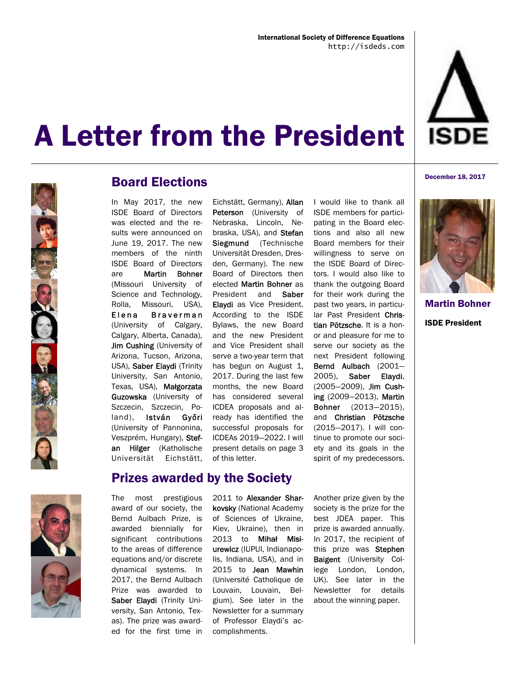



### Board Elections

In May 2017, the new ISDE Board of Directors was elected and the results were announced on June 19, 2017. The new members of the ninth ISDE Board of Directors are Martin Bohner (Missouri University of Science and Technology, Rolla, Missouri, USA), Elena Braverman (University of Calgary, Calgary, Alberta, Canada), Jim Cushing (University of Arizona, Tucson, Arizona, USA), Saber Elaydi (Trinity University, San Antonio, Texas, USA), Małgorzata Guzowska (University of Szczecin, Szczecin, Poland), István Győri (University of Pannonina, Veszprém, Hungary), Stefan Hilger (Katholische Universität Eichstätt,

#### Prizes awarded by the Society

The most prestigious award of our society, the Bernd Aulbach Prize, is awarded biennially for significant contributions to the areas of difference equations and/or discrete dynamical systems. In 2017, the Bernd Aulbach Prize was awarded to Saber Elaydi (Trinity University, San Antonio, Texas). The prize was awarded for the first time in

Eichstätt, Germany), Allan Peterson (University of Nebraska, Lincoln, Nebraska, USA), and Stefan Siegmund (Technische Universität Dresden, Dresden, Germany). The new Board of Directors then elected Martin Bohner as President and Saber Elaydi as Vice President. According to the ISDE Bylaws, the new Board and the new President and Vice President shall serve a two-year term that has begun on August 1, 2017. During the last few months, the new Board has considered several ICDEA proposals and already has identified the successful proposals for ICDEAs 2019—2022. I will present details on page 3 of this letter.

2011 to Alexander Sharkovsky (National Academy of Sciences of Ukraine, Kiev, Ukraine), then in 2013 to Mihał Misiurewicz (IUPUI, Indianapolis, Indiana, USA), and in 2015 to Jean Mawhin (Université Catholique de Louvain, Louvain, Belgium). See later in the Newsletter for a summary of Professor Elaydi's accomplishments.

I would like to thank all ISDE members for participating in the Board elections and also all new Board members for their willingness to serve on the ISDE Board of Directors. I would also like to thank the outgoing Board for their work during the past two years, in particular Past President Christian Pötzsche. It is a honor and pleasure for me to serve our society as the next President following Bernd Aulbach (2001— 2005), Saber Elaydi, (2005—2009), Jim Cushing (2009—2013), Martin Bohner (2013—2015), and Christian Pötzsche (2015—2017). I will continue to promote our society and its goals in the spirit of my predecessors.

Another prize given by the society is the prize for the best JDEA paper. This prize is awarded annually. In 2017, the recipient of this prize was Stephen Baigent (University College London, London, UK). See later in the Newsletter for details about the winning paper.



December 18, 2017

Martin Bohner ISDE President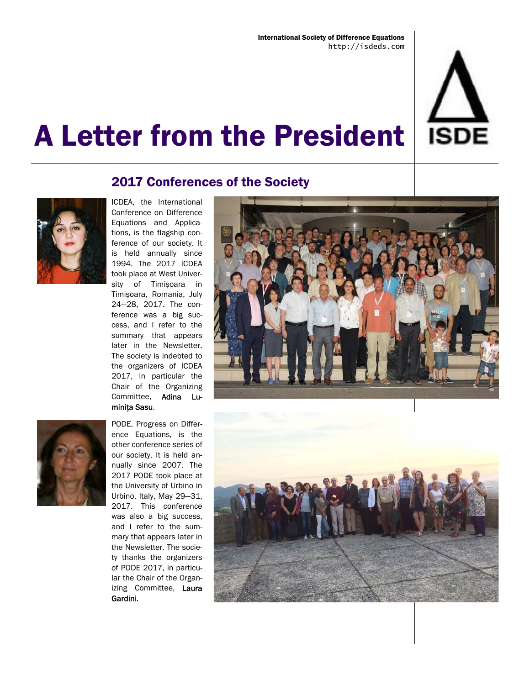

### 2017 Conferences of the Society



ICDEA, the International Conference on Difference Equations and Applications, is the flagship conference of our society. It is held annually since 1994. The 2017 ICDEA took place at West University of Timişoara in Timişoara, Romania, July 24—28, 2017. The conference was a big success, and I refer to the summary that appears later in the Newsletter. The society is indebted to the organizers of ICDEA 2017, in particular the Chair of the Organizing Committee, Adina Luminita Sasu.



PODE, Progress on Difference Equations, is the other conference series of our society. It is held annually since 2007. The 2017 PODE took place at the University of Urbino in Urbino, Italy, May 29—31, 2017. This conference was also a big success, and I refer to the summary that appears later in the Newsletter. The society thanks the organizers of PODE 2017, in particular the Chair of the Organizing Committee, Laura Gardini.



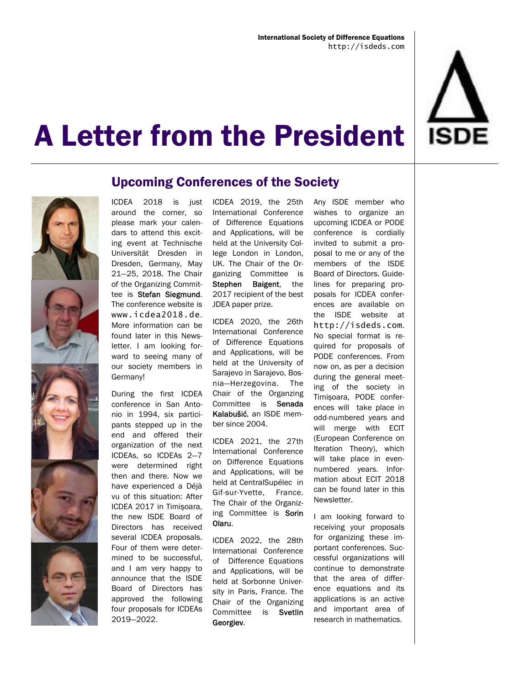



### Upcoming Conferences of the Society

ICDEA 2018 is just around the corner, so please mark your calendars to attend this exciting event at Technische Universität Dresden in Dresden, Germany, May 21—25, 2018. The Chair of the Organizing Committee is Stefan Siegmund. The conference website is www.icdea2018.de. More information can be found later in this Newsletter. I am looking forward to seeing many of our society members in Germany!

During the first ICDEA conference in San Antonio in 1994, six participants stepped up in the end and offered their organization of the next ICDEAs, so ICDEAs 2—7 were determined right then and there. Now we have experienced a Déjà vu of this situation: After ICDEA 2017 in Timişoara, the new ISDE Board of Directors has received several ICDEA proposals. Four of them were determined to be successful, and I am very happy to announce that the ISDE Board of Directors has approved the following four proposals for ICDEAs 2019—2022.

ICDEA 2019, the 25th International Conference of Difference Equations and Applications, will be held at the University College London in London, UK. The Chair of the Organizing Committee is Stephen Baigent, the 2017 recipient of the best JDEA paper prize.

ICDEA 2020, the 26th International Conference of Difference Equations and Applications, will be held at the University of Sarajevo in Sarajevo, Bosnia—Herzegovina. The Chair of the Organzing Committee is Senada Kalabušić, an ISDE member since 2004.

ICDEA 2021, the 27th International Conference on Difference Equations and Applications, will be held at CentralSupélec in Gif-sur-Yvette, France. The Chair of the Organizing Committee is Sorin Olaru.

ICDEA 2022, the 28th International Conference of Difference Equations and Applications, will be held at Sorbonne University in Paris, France. The Chair of the Organizing Committee is Svetlin Georgiev.

Any ISDE member who wishes to organize an upcoming ICDEA or PODE conference is cordially invited to submit a proposal to me or any of the members of the ISDE Board of Directors. Guidelines for preparing proposals for ICDEA conferences are available on the ISDE website at http://isdeds.com. No special format is required for proposals of PODE conferences. From now on, as per a decision during the general meeting of the society in Timişoara, PODE conferences will take place in odd-numbered years and will merge with ECIT (European Conference on Iteration Theory), which will take place in evennumbered years. Information about ECIT 2018 can be found later in this Newsletter.

I am looking forward to receiving your proposals for organizing these important conferences. Successful organizations will continue to demonstrate that the area of difference equations and its applications is an active and important area of research in mathematics.